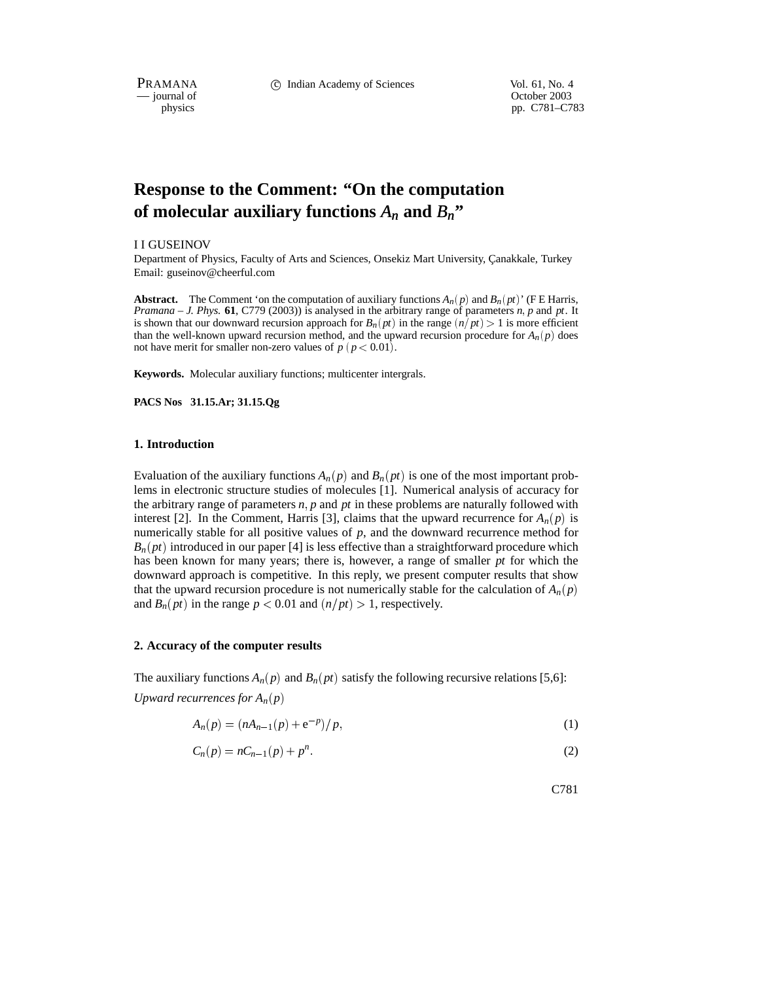PRAMANA C Indian Academy of Sciences Vol. 61, No. 4<br>
— journal of Corober 2003

 $-$  journal of physics

pp. C781–C783

# **Response to the Comment: "On the computation** of molecular auxiliary functions  $A_n$  and  $B_n$ <sup>"</sup>

I I GUSEINOV

Department of Physics, Faculty of Arts and Sciences, Onsekiz Mart University, Çanakkale, Turkey Email: guseinov@cheerful.com

**Abstract.** The Comment 'on the computation of auxiliary functions  $A_n(p)$  and  $B_n(pt)$ ' (F E Harris, *Pramana – J. Phys.* **61**, C779 (2003)) is analysed in the arbitrary range of parameters *n p* and *pt*. It is shown that our downward recursion approach for  $B_n(pt)$  in the range  $(n/pt) > 1$  is more efficient than the well-known upward recursion method, and the upward recursion procedure for  $A_n(p)$  does not have merit for smaller non-zero values of  $p \ (p < 0.01)$ .

**Keywords.** Molecular auxiliary functions; multicenter intergrals.

**PACS Nos 31.15.Ar; 31.15.Qg**

#### **1. Introduction**

Evaluation of the auxiliary functions  $A_n(p)$  and  $B_n(pt)$  is one of the most important problems in electronic structure studies of molecules [1]. Numerical analysis of accuracy for the arbitrary range of parameters *n p* and *pt* in these problems are naturally followed with interest [2]. In the Comment, Harris [3], claims that the upward recurrence for  $A_n(p)$  is numerically stable for all positive values of *p*, and the downward recurrence method for  $B_n(pt)$  introduced in our paper [4] is less effective than a straightforward procedure which has been known for many years; there is, however, a range of smaller *pt* for which the downward approach is competitive. In this reply, we present computer results that show that the upward recursion procedure is not numerically stable for the calculation of  $A_n(p)$ and  $B_n(pt)$  in the range  $p < 0.01$  and  $\left(\frac{n}{pt}\right) > 1$ , respectively.

#### **2. Accuracy of the computer results**

The auxiliary functions  $A_n(p)$  and  $B_n(pt)$  satisfy the following recursive relations [5,6]: *Upward recurrences for*  $A_n(p)$ 

$$
A_n(p) = (nA_{n-1}(p) + e^{-p})/p,
$$
\n(1)

$$
C_n(p) = nC_{n-1}(p) + p^n.
$$
 (2)

C781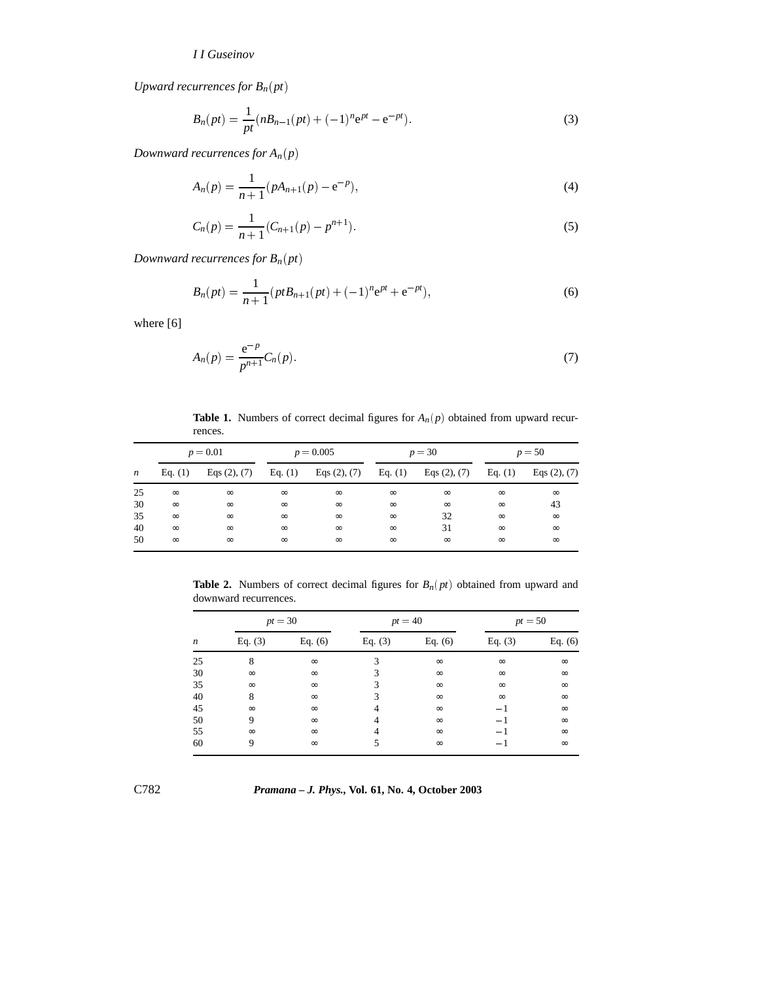## *I I Guseinov*

*Upward recurrences for*  $B_n(pt)$ 

$$
B_n(pt) = \frac{1}{pt}(nB_{n-1}(pt) + (-1)^n e^{pt} - e^{-pt}).
$$
\n(3)

*Downward recurrences for*  $A_n(p)$ 

$$
A_n(p) = \frac{1}{n+1}(pA_{n+1}(p) - e^{-p}),
$$
\n(4)

$$
C_n(p) = \frac{1}{n+1}(C_{n+1}(p) - p^{n+1}).
$$
\n(5)

*Downward recurrences for*  $B_n(pt)$ 

$$
B_n(pt) = \frac{1}{n+1} (pt B_{n+1}(pt) + (-1)^n e^{pt} + e^{-pt}),
$$
\n(6)

where [6]

$$
A_n(p) = \frac{e^{-p}}{p^{n+1}} C_n(p). \tag{7}
$$

**Table 1.** Numbers of correct decimal figures for  $A_n(p)$  obtained from upward recurrences.

|                  | $p = 0.01$ |                   | $p = 0.005$ |                   | $p = 30$  |                   | $p = 50$  |                   |
|------------------|------------|-------------------|-------------|-------------------|-----------|-------------------|-----------|-------------------|
| $\boldsymbol{n}$ | Eq. $(1)$  | Eqs $(2)$ , $(7)$ | Eq. $(1)$   | Eqs $(2)$ , $(7)$ | Eq. $(1)$ | Eqs $(2)$ , $(7)$ | Eq. $(1)$ | Eqs $(2)$ , $(7)$ |
| 25               | $\infty$   | $\infty$          | $\infty$    | $\infty$          | $\infty$  | $\infty$          | $\infty$  | $\infty$          |
| 30               | $\infty$   | $\infty$          | $\infty$    | $\infty$          | $\infty$  | $\infty$          | $\infty$  | 43                |
| 35               | $\infty$   | $\infty$          | $\infty$    | $\infty$          | $\infty$  | 32                | $\infty$  | $\infty$          |
| 40               | $\infty$   | $\infty$          | $\infty$    | $\infty$          | $\infty$  | 31                | $\infty$  | $\infty$          |
| 50               | $\infty$   | $\infty$          | $\infty$    | $\infty$          | $\infty$  | $\infty$          | $\infty$  | $\infty$          |

**Table 2.** Numbers of correct decimal figures for  $B_n(pt)$  obtained from upward and downward recurrences.

|                  | $pt = 30$ |           | $pt = 40$ |           | $pt = 50$ |           |
|------------------|-----------|-----------|-----------|-----------|-----------|-----------|
| $\boldsymbol{n}$ | Eq. $(3)$ | Eq. $(6)$ | Eq. $(3)$ | Eq. $(6)$ | Eq. $(3)$ | Eq. $(6)$ |
| 25               | 8         | $\infty$  | 3         | $\infty$  | $\infty$  | $\infty$  |
| 30               | $\infty$  | $\infty$  | 3         | $\infty$  | $\infty$  | $\infty$  |
| 35               | $\infty$  | $\infty$  | 3         | $\infty$  | $\infty$  | $\infty$  |
| 40               | 8         | $\infty$  | 3         | $\infty$  | $\infty$  | $\infty$  |
| 45               | $\infty$  | $\infty$  | 4         | $\infty$  | $-1$      | $\infty$  |
| 50               | 9         | $\infty$  | 4         | $\infty$  | $-1$      | $\infty$  |
| 55               | $\infty$  | $\infty$  | 4         | $\infty$  | $-1$      | $\infty$  |
| 60               | 9         | $\infty$  |           | $\infty$  | — 1       | $\infty$  |

C782 *Pramana – J. Phys.,* **Vol. 61, No. 4, October 2003**